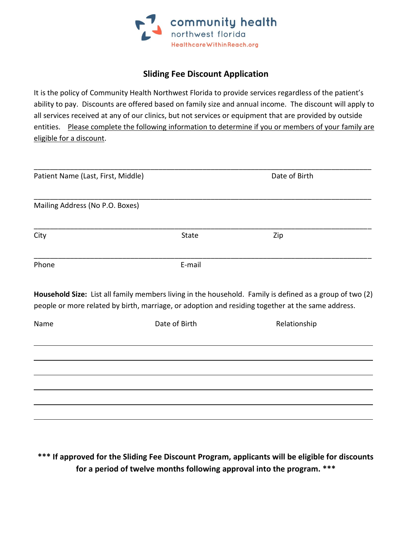

## **Sliding Fee Discount Application**

It is the policy of Community Health Northwest Florida to provide services regardless of the patient's ability to pay. Discounts are offered based on family size and annual income. The discount will apply to all services received at any of our clinics, but not services or equipment that are provided by outside entities. Please complete the following information to determine if you or members of your family are eligible for a discount.

| Patient Name (Last, First, Middle) |               | Date of Birth                                                                                                                                                                                                 |  |
|------------------------------------|---------------|---------------------------------------------------------------------------------------------------------------------------------------------------------------------------------------------------------------|--|
| Mailing Address (No P.O. Boxes)    |               |                                                                                                                                                                                                               |  |
| City                               | State         | Zip                                                                                                                                                                                                           |  |
| Phone                              | E-mail        |                                                                                                                                                                                                               |  |
|                                    |               | Household Size: List all family members living in the household. Family is defined as a group of two (2)<br>people or more related by birth, marriage, or adoption and residing together at the same address. |  |
| Name                               | Date of Birth | Relationship                                                                                                                                                                                                  |  |
|                                    |               |                                                                                                                                                                                                               |  |
|                                    |               |                                                                                                                                                                                                               |  |
|                                    |               |                                                                                                                                                                                                               |  |
|                                    |               |                                                                                                                                                                                                               |  |

**\*\*\* If approved for the Sliding Fee Discount Program, applicants will be eligible for discounts for a period of twelve months following approval into the program. \*\*\***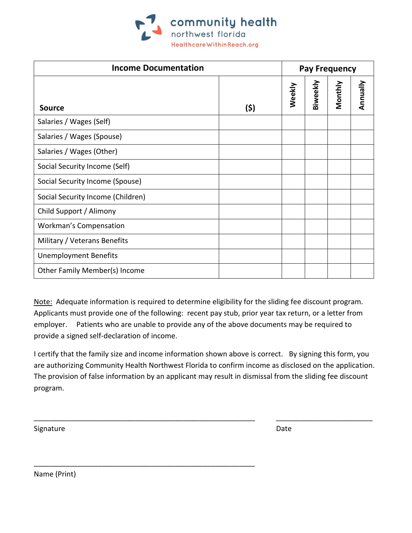

| <b>Income Documentation</b>       |      | <b>Pay Frequency</b> |                 |         |          |
|-----------------------------------|------|----------------------|-----------------|---------|----------|
| <b>Source</b>                     | (\$) | Weekly               | <b>Biweekly</b> | Monthly | Annually |
| Salaries / Wages (Self)           |      |                      |                 |         |          |
| Salaries / Wages (Spouse)         |      |                      |                 |         |          |
| Salaries / Wages (Other)          |      |                      |                 |         |          |
| Social Security Income (Self)     |      |                      |                 |         |          |
| Social Security Income (Spouse)   |      |                      |                 |         |          |
| Social Security Income (Children) |      |                      |                 |         |          |
| Child Support / Alimony           |      |                      |                 |         |          |
| Workman's Compensation            |      |                      |                 |         |          |
| Military / Veterans Benefits      |      |                      |                 |         |          |
| <b>Unemployment Benefits</b>      |      |                      |                 |         |          |
| Other Family Member(s) Income     |      |                      |                 |         |          |

Note:Adequate information is required to determine eligibility for the sliding fee discount program. Applicants must provide one of the following: recent pay stub, prior year tax return, or a letter from employer. Patients who are unable to provide any of the above documents may be required to provide a signed self-declaration of income.

I certify that the family size and income information shown above is correct. By signing this form, you are authorizing Community Health Northwest Florida to confirm income as disclosed on the application. The provision of false information by an applicant may result in dismissal from the sliding fee discount program.

\_\_\_\_\_\_\_\_\_\_\_\_\_\_\_\_\_\_\_\_\_\_\_\_\_\_\_\_\_\_\_\_\_\_\_\_\_\_\_\_\_\_\_\_\_\_\_\_\_\_\_\_\_\_\_ \_\_\_\_\_\_\_\_\_\_\_\_\_\_\_\_\_\_\_\_\_\_\_\_

\_\_\_\_\_\_\_\_\_\_\_\_\_\_\_\_\_\_\_\_\_\_\_\_\_\_\_\_\_\_\_\_\_\_\_\_\_\_\_\_\_\_\_\_\_\_\_\_\_\_\_\_\_\_\_

Signature Date Date Communications and the Date Date Date Date

Name (Print)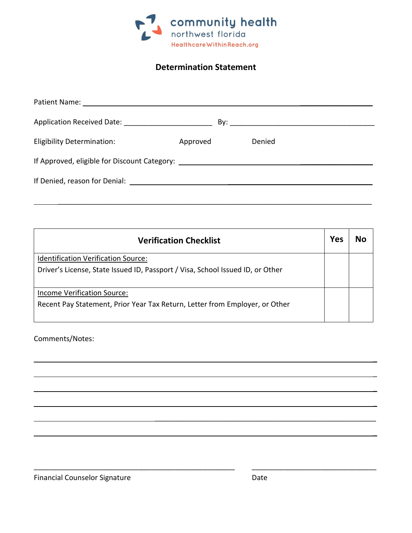

## **Determination Statement**

| <b>Eligibility Determination:</b>                                                | Approved | Denied |
|----------------------------------------------------------------------------------|----------|--------|
| If Approved, eligible for Discount Category: ___________________________________ |          |        |
|                                                                                  |          |        |
|                                                                                  |          |        |

| <b>Verification Checklist</b>                                                  | Yes | Nο |
|--------------------------------------------------------------------------------|-----|----|
| <b>Identification Verification Source:</b>                                     |     |    |
| Driver's License, State Issued ID, Passport / Visa, School Issued ID, or Other |     |    |
| <b>Income Verification Source:</b>                                             |     |    |
| Recent Pay Statement, Prior Year Tax Return, Letter from Employer, or Other    |     |    |

\_\_\_\_\_\_\_\_\_\_\_\_\_\_\_\_\_\_\_\_\_\_\_\_\_\_\_\_\_\_\_\_\_\_\_\_\_\_\_\_\_\_\_\_\_\_\_\_\_\_ \_\_\_\_\_\_\_\_\_\_\_\_\_\_\_\_\_\_\_\_\_\_\_\_\_\_\_\_\_\_\_

Comments/Notes:

 $\mathcal{L}_\text{max}$  , and the contract of the contract of the contract of the contract of the contract of the contract of

 $\overline{\phantom{a}}$ 

 $\overline{\phantom{a}}$ 

 $\overline{a}$ 

 $\overline{\phantom{a}}$ 

 $\overline{\phantom{a}}$